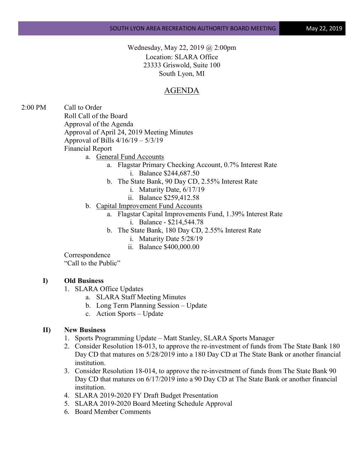Wednesday, May 22, 2019 @ 2:00pm Location: SLARA Office 23333 Griswold, Suite 100 South Lyon, MI

## AGENDA

2:00 PM Call to Order Roll Call of the Board Approval of the Agenda Approval of April 24, 2019 Meeting Minutes Approval of Bills 4/16/19 – 5/3/19 Financial Report

- a. General Fund Accounts
	- a. Flagstar Primary Checking Account, 0.7% Interest Rate i. Balance \$244,687.50
	- b. The State Bank, 90 Day CD, 2.55% Interest Rate
		- i. Maturity Date, 6/17/19
		- ii. Balance \$259,412.58
- b. Capital Improvement Fund Accounts
	- a. Flagstar Capital Improvements Fund, 1.39% Interest Rate
		- i. Balance \$214,544.78
		- b. The State Bank, 180 Day CD, 2.55% Interest Rate
			- i. Maturity Date 5/28/19
			- ii. Balance \$400,000.00

Correspondence

"Call to the Public"

## **I) Old Business**

- 1. SLARA Office Updates
	- a. SLARA Staff Meeting Minutes
	- b. Long Term Planning Session Update
	- c. Action Sports Update

## **II) New Business**

- 1. Sports Programming Update Matt Stanley, SLARA Sports Manager
- 2. Consider Resolution 18-013, to approve the re-investment of funds from The State Bank 180 Day CD that matures on 5/28/2019 into a 180 Day CD at The State Bank or another financial institution.
- 3. Consider Resolution 18-014, to approve the re-investment of funds from The State Bank 90 Day CD that matures on 6/17/2019 into a 90 Day CD at The State Bank or another financial institution.
- 4. SLARA 2019-2020 FY Draft Budget Presentation
- 5. SLARA 2019-2020 Board Meeting Schedule Approval
- 6. Board Member Comments